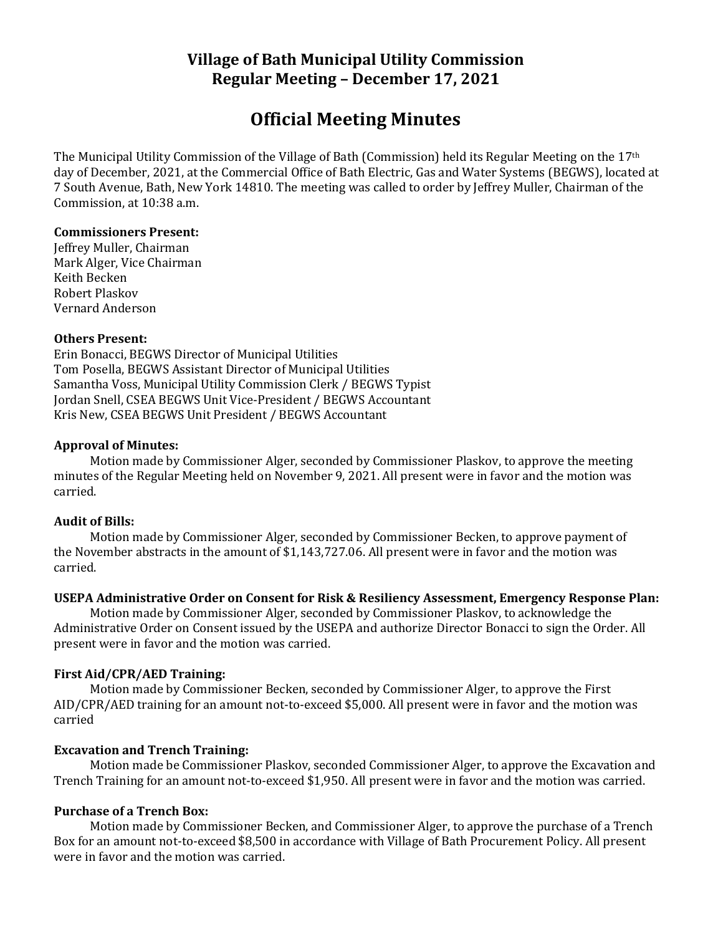# **Village of Bath Municipal Utility Commission Regular Meeting – December 17, 2021**

# **Official Meeting Minutes**

The Municipal Utility Commission of the Village of Bath (Commission) held its Regular Meeting on the 17th day of December, 2021, at the Commercial Office of Bath Electric, Gas and Water Systems (BEGWS), located at 7 South Avenue, Bath, New York 14810. The meeting was called to order by Jeffrey Muller, Chairman of the Commission, at 10:38 a.m.

## **Commissioners Present:**

Jeffrey Muller, Chairman Mark Alger, Vice Chairman Keith Becken Robert Plaskov Vernard Anderson

## **Others Present:**

Erin Bonacci, BEGWS Director of Municipal Utilities Tom Posella, BEGWS Assistant Director of Municipal Utilities Samantha Voss, Municipal Utility Commission Clerk / BEGWS Typist Jordan Snell, CSEA BEGWS Unit Vice-President / BEGWS Accountant Kris New, CSEA BEGWS Unit President / BEGWS Accountant

## **Approval of Minutes:**

Motion made by Commissioner Alger, seconded by Commissioner Plaskov, to approve the meeting minutes of the Regular Meeting held on November 9, 2021. All present were in favor and the motion was carried.

#### **Audit of Bills:**

Motion made by Commissioner Alger, seconded by Commissioner Becken, to approve payment of the November abstracts in the amount of \$1,143,727.06. All present were in favor and the motion was carried.

## **USEPA Administrative Order on Consent for Risk & Resiliency Assessment, Emergency Response Plan:**

Motion made by Commissioner Alger, seconded by Commissioner Plaskov, to acknowledge the Administrative Order on Consent issued by the USEPA and authorize Director Bonacci to sign the Order. All present were in favor and the motion was carried.

## **First Aid/CPR/AED Training:**

Motion made by Commissioner Becken, seconded by Commissioner Alger, to approve the First AID/CPR/AED training for an amount not-to-exceed \$5,000. All present were in favor and the motion was carried

## **Excavation and Trench Training:**

Motion made be Commissioner Plaskov, seconded Commissioner Alger, to approve the Excavation and Trench Training for an amount not-to-exceed \$1,950. All present were in favor and the motion was carried.

## **Purchase of a Trench Box:**

Motion made by Commissioner Becken, and Commissioner Alger, to approve the purchase of a Trench Box for an amount not-to-exceed \$8,500 in accordance with Village of Bath Procurement Policy. All present were in favor and the motion was carried.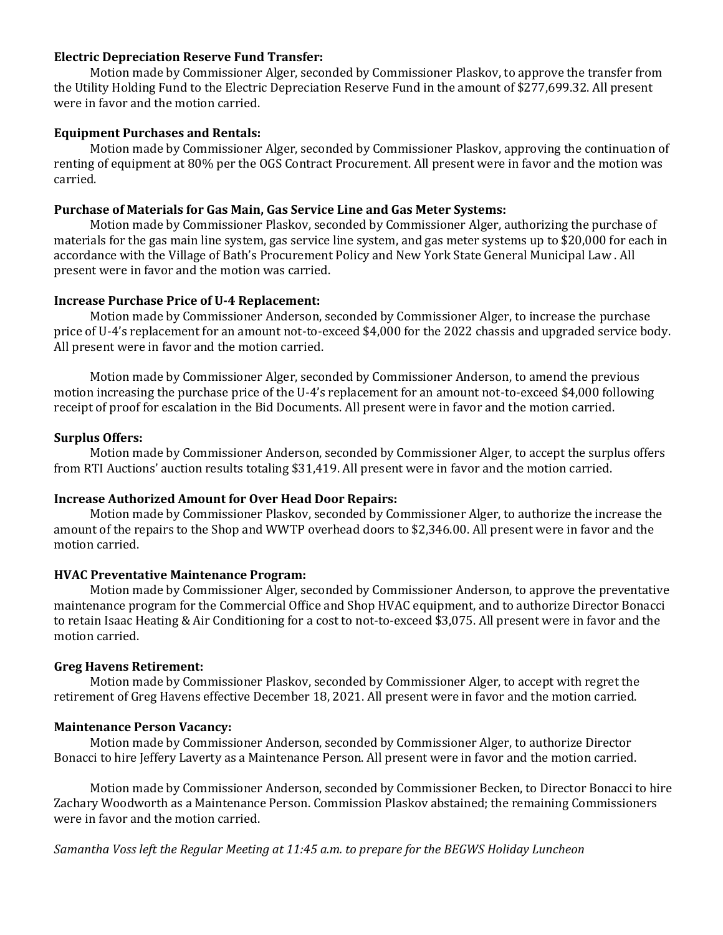#### **Electric Depreciation Reserve Fund Transfer:**

Motion made by Commissioner Alger, seconded by Commissioner Plaskov, to approve the transfer from the Utility Holding Fund to the Electric Depreciation Reserve Fund in the amount of \$277,699.32. All present were in favor and the motion carried.

#### **Equipment Purchases and Rentals:**

Motion made by Commissioner Alger, seconded by Commissioner Plaskov, approving the continuation of renting of equipment at 80% per the OGS Contract Procurement. All present were in favor and the motion was carried.

#### **Purchase of Materials for Gas Main, Gas Service Line and Gas Meter Systems:**

Motion made by Commissioner Plaskov, seconded by Commissioner Alger, authorizing the purchase of materials for the gas main line system, gas service line system, and gas meter systems up to \$20,000 for each in accordance with the Village of Bath's Procurement Policy and New York State General Municipal Law . All present were in favor and the motion was carried.

#### **Increase Purchase Price of U-4 Replacement:**

Motion made by Commissioner Anderson, seconded by Commissioner Alger, to increase the purchase price of U-4's replacement for an amount not-to-exceed \$4,000 for the 2022 chassis and upgraded service body. All present were in favor and the motion carried.

Motion made by Commissioner Alger, seconded by Commissioner Anderson, to amend the previous motion increasing the purchase price of the U-4's replacement for an amount not-to-exceed \$4,000 following receipt of proof for escalation in the Bid Documents. All present were in favor and the motion carried.

#### **Surplus Offers:**

Motion made by Commissioner Anderson, seconded by Commissioner Alger, to accept the surplus offers from RTI Auctions' auction results totaling \$31,419. All present were in favor and the motion carried.

#### **Increase Authorized Amount for Over Head Door Repairs:**

Motion made by Commissioner Plaskov, seconded by Commissioner Alger, to authorize the increase the amount of the repairs to the Shop and WWTP overhead doors to \$2,346.00. All present were in favor and the motion carried.

#### **HVAC Preventative Maintenance Program:**

Motion made by Commissioner Alger, seconded by Commissioner Anderson, to approve the preventative maintenance program for the Commercial Office and Shop HVAC equipment, and to authorize Director Bonacci to retain Isaac Heating & Air Conditioning for a cost to not-to-exceed \$3,075. All present were in favor and the motion carried.

#### **Greg Havens Retirement:**

Motion made by Commissioner Plaskov, seconded by Commissioner Alger, to accept with regret the retirement of Greg Havens effective December 18, 2021. All present were in favor and the motion carried.

#### **Maintenance Person Vacancy:**

Motion made by Commissioner Anderson, seconded by Commissioner Alger, to authorize Director Bonacci to hire Jeffery Laverty as a Maintenance Person. All present were in favor and the motion carried.

Motion made by Commissioner Anderson, seconded by Commissioner Becken, to Director Bonacci to hire Zachary Woodworth as a Maintenance Person. Commission Plaskov abstained; the remaining Commissioners were in favor and the motion carried.

*Samantha Voss left the Regular Meeting at 11:45 a.m. to prepare for the BEGWS Holiday Luncheon*